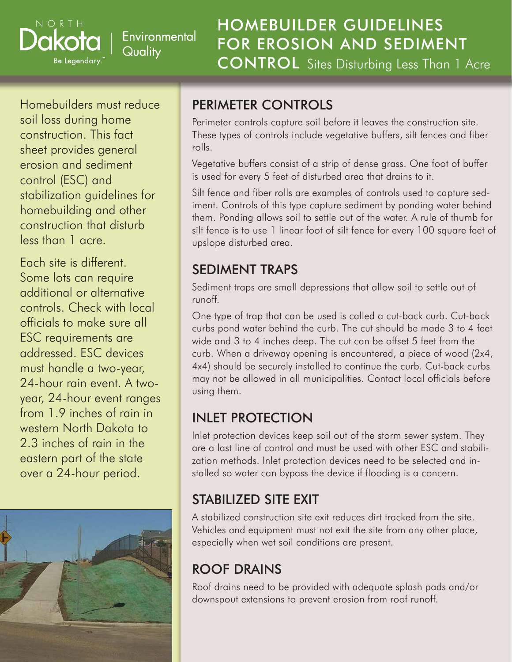Environmental Quality

# HOMEBUILDER GUIDELINES FOR EROSION AND SEDIMENT CONTROL Sites Disturbing Less Than 1 Acre

Homebuilders must reduce soil loss during home construction. This fact sheet provides general erosion and sediment control (ESC) and stabilization guidelines for homebuilding and other construction that disturb less than 1 acre.

NORTH

Be Legendary.

Each site is different. Some lots can require additional or alternative controls. Check with local officials to make sure all ESC requirements are addressed. ESC devices must handle a two-year, 24-hour rain event. A twoyear, 24-hour event ranges from 1.9 inches of rain in western North Dakota to 2.3 inches of rain in the eastern part of the state over a 24-hour period.



### PERIMETER CONTROLS

Perimeter controls capture soil before it leaves the construction site. These types of controls include vegetative buffers, silt fences and fiber rolls.

Vegetative buffers consist of a strip of dense grass. One foot of buffer is used for every 5 feet of disturbed area that drains to it.

Silt fence and fiber rolls are examples of controls used to capture sediment. Controls of this type capture sediment by ponding water behind them. Ponding allows soil to settle out of the water. A rule of thumb for silt fence is to use 1 linear foot of silt fence for every 100 square feet of upslope disturbed area.

#### SEDIMENT TRAPS

Sediment traps are small depressions that allow soil to settle out of runoff.

One type of trap that can be used is called a cut-back curb. Cut-back curbs pond water behind the curb. The cut should be made 3 to 4 feet wide and 3 to 4 inches deep. The cut can be offset 5 feet from the curb. When a driveway opening is encountered, a piece of wood (2x4, 4x4) should be securely installed to continue the curb. Cut-back curbs may not be allowed in all municipalities. Contact local officials before using them.

## INLET PROTECTION

Inlet protection devices keep soil out of the storm sewer system. They are a last line of control and must be used with other ESC and stabilization methods. Inlet protection devices need to be selected and installed so water can bypass the device if flooding is a concern.

# STABILIZED SITE EXIT

A stabilized construction site exit reduces dirt tracked from the site. Vehicles and equipment must not exit the site from any other place, especially when wet soil conditions are present.

# ROOF DRAINS

Roof drains need to be provided with adequate splash pads and/or downspout extensions to prevent erosion from roof runoff.